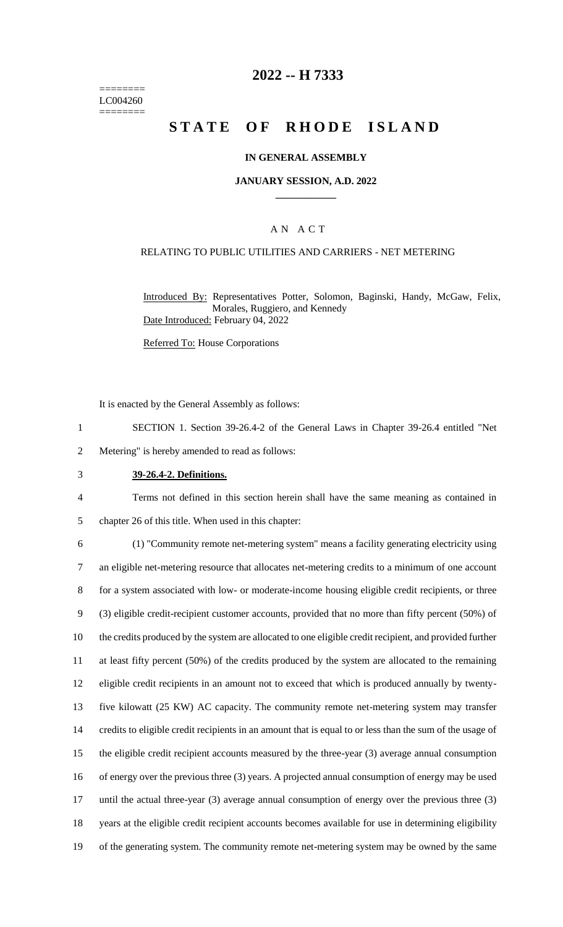======== LC004260 ========

# **2022 -- H 7333**

# **STATE OF RHODE ISLAND**

### **IN GENERAL ASSEMBLY**

#### **JANUARY SESSION, A.D. 2022 \_\_\_\_\_\_\_\_\_\_\_\_**

### A N A C T

### RELATING TO PUBLIC UTILITIES AND CARRIERS - NET METERING

Introduced By: Representatives Potter, Solomon, Baginski, Handy, McGaw, Felix, Morales, Ruggiero, and Kennedy Date Introduced: February 04, 2022

Referred To: House Corporations

It is enacted by the General Assembly as follows:

1 SECTION 1. Section 39-26.4-2 of the General Laws in Chapter 39-26.4 entitled "Net

2 Metering" is hereby amended to read as follows:

3 **39-26.4-2. Definitions.**

4 Terms not defined in this section herein shall have the same meaning as contained in 5 chapter 26 of this title. When used in this chapter:

 (1) "Community remote net-metering system" means a facility generating electricity using an eligible net-metering resource that allocates net-metering credits to a minimum of one account for a system associated with low- or moderate-income housing eligible credit recipients, or three (3) eligible credit-recipient customer accounts, provided that no more than fifty percent (50%) of the credits produced by the system are allocated to one eligible credit recipient, and provided further at least fifty percent (50%) of the credits produced by the system are allocated to the remaining eligible credit recipients in an amount not to exceed that which is produced annually by twenty- five kilowatt (25 KW) AC capacity. The community remote net-metering system may transfer credits to eligible credit recipients in an amount that is equal to or less than the sum of the usage of the eligible credit recipient accounts measured by the three-year (3) average annual consumption of energy over the previous three (3) years. A projected annual consumption of energy may be used 17 until the actual three-year (3) average annual consumption of energy over the previous three (3) years at the eligible credit recipient accounts becomes available for use in determining eligibility of the generating system. The community remote net-metering system may be owned by the same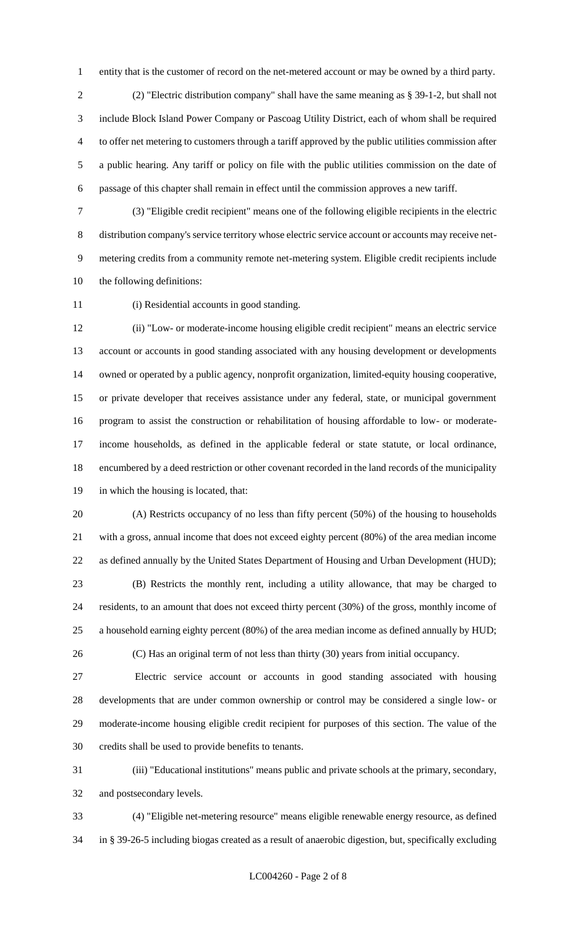entity that is the customer of record on the net-metered account or may be owned by a third party.

 (2) "Electric distribution company" shall have the same meaning as § 39-1-2, but shall not include Block Island Power Company or Pascoag Utility District, each of whom shall be required to offer net metering to customers through a tariff approved by the public utilities commission after a public hearing. Any tariff or policy on file with the public utilities commission on the date of passage of this chapter shall remain in effect until the commission approves a new tariff.

 (3) "Eligible credit recipient" means one of the following eligible recipients in the electric distribution company's service territory whose electric service account or accounts may receive net- metering credits from a community remote net-metering system. Eligible credit recipients include the following definitions:

(i) Residential accounts in good standing.

 (ii) "Low- or moderate-income housing eligible credit recipient" means an electric service account or accounts in good standing associated with any housing development or developments owned or operated by a public agency, nonprofit organization, limited-equity housing cooperative, or private developer that receives assistance under any federal, state, or municipal government program to assist the construction or rehabilitation of housing affordable to low- or moderate- income households, as defined in the applicable federal or state statute, or local ordinance, encumbered by a deed restriction or other covenant recorded in the land records of the municipality in which the housing is located, that:

 (A) Restricts occupancy of no less than fifty percent (50%) of the housing to households with a gross, annual income that does not exceed eighty percent (80%) of the area median income as defined annually by the United States Department of Housing and Urban Development (HUD); (B) Restricts the monthly rent, including a utility allowance, that may be charged to

 residents, to an amount that does not exceed thirty percent (30%) of the gross, monthly income of a household earning eighty percent (80%) of the area median income as defined annually by HUD;

(C) Has an original term of not less than thirty (30) years from initial occupancy.

 Electric service account or accounts in good standing associated with housing developments that are under common ownership or control may be considered a single low- or moderate-income housing eligible credit recipient for purposes of this section. The value of the credits shall be used to provide benefits to tenants.

 (iii) "Educational institutions" means public and private schools at the primary, secondary, and postsecondary levels.

 (4) "Eligible net-metering resource" means eligible renewable energy resource, as defined in § 39-26-5 including biogas created as a result of anaerobic digestion, but, specifically excluding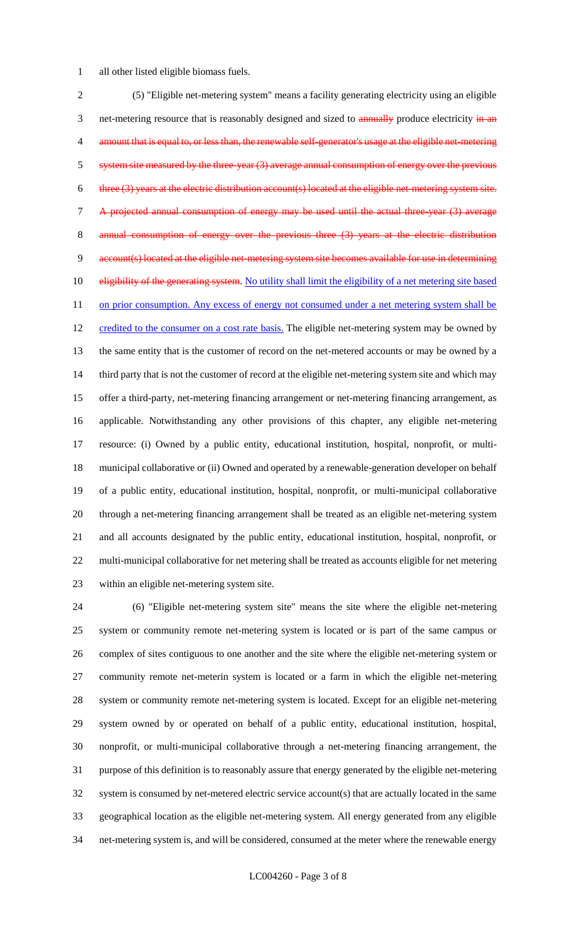all other listed eligible biomass fuels.

 (5) "Eligible net-metering system" means a facility generating electricity using an eligible 3 net-metering resource that is reasonably designed and sized to **annually** produce electricity in an 4 amount that is equal to, or less than, the renewable self-generator's usage at the eligible net-metering 5 system site measured by the three-year (3) average annual consumption of energy over the previous 6 three (3) years at the electric distribution account(s) located at the eligible net-metering system site. A projected annual consumption of energy may be used until the actual three-year (3) average 8 annual consumption of energy over the previous three (3) years at the account(s) located at the eligible net-metering system site becomes available for use in determining 10 eligibility of the generating system. No utility shall limit the eligibility of a net metering site based 11 on prior consumption. Any excess of energy not consumed under a net metering system shall be 12 credited to the consumer on a cost rate basis. The eligible net-metering system may be owned by the same entity that is the customer of record on the net-metered accounts or may be owned by a 14 third party that is not the customer of record at the eligible net-metering system site and which may offer a third-party, net-metering financing arrangement or net-metering financing arrangement, as applicable. Notwithstanding any other provisions of this chapter, any eligible net-metering resource: (i) Owned by a public entity, educational institution, hospital, nonprofit, or multi- municipal collaborative or (ii) Owned and operated by a renewable-generation developer on behalf of a public entity, educational institution, hospital, nonprofit, or multi-municipal collaborative through a net-metering financing arrangement shall be treated as an eligible net-metering system and all accounts designated by the public entity, educational institution, hospital, nonprofit, or multi-municipal collaborative for net metering shall be treated as accounts eligible for net metering within an eligible net-metering system site.

 (6) "Eligible net-metering system site" means the site where the eligible net-metering system or community remote net-metering system is located or is part of the same campus or complex of sites contiguous to one another and the site where the eligible net-metering system or community remote net-meterin system is located or a farm in which the eligible net-metering system or community remote net-metering system is located. Except for an eligible net-metering system owned by or operated on behalf of a public entity, educational institution, hospital, nonprofit, or multi-municipal collaborative through a net-metering financing arrangement, the purpose of this definition is to reasonably assure that energy generated by the eligible net-metering system is consumed by net-metered electric service account(s) that are actually located in the same geographical location as the eligible net-metering system. All energy generated from any eligible net-metering system is, and will be considered, consumed at the meter where the renewable energy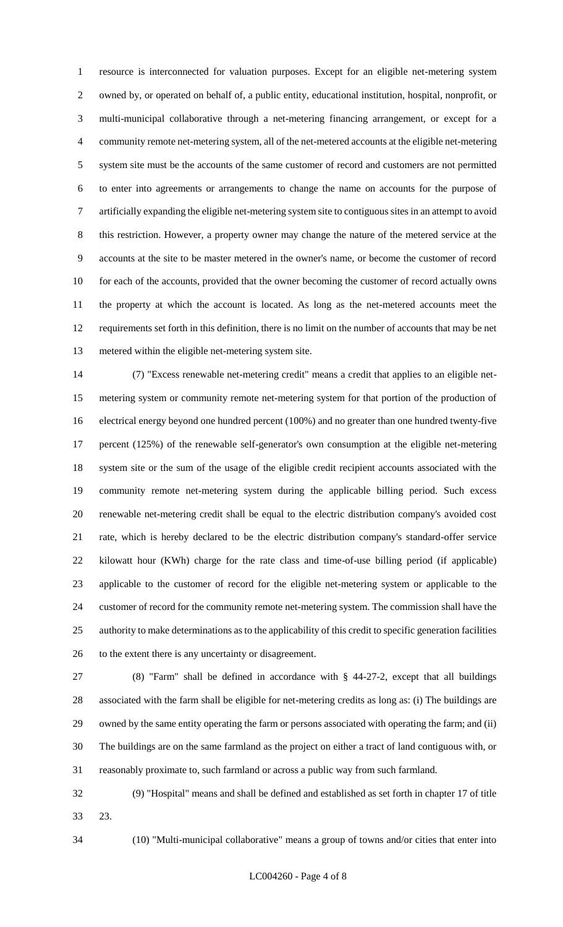resource is interconnected for valuation purposes. Except for an eligible net-metering system owned by, or operated on behalf of, a public entity, educational institution, hospital, nonprofit, or multi-municipal collaborative through a net-metering financing arrangement, or except for a community remote net-metering system, all of the net-metered accounts at the eligible net-metering system site must be the accounts of the same customer of record and customers are not permitted to enter into agreements or arrangements to change the name on accounts for the purpose of artificially expanding the eligible net-metering system site to contiguous sites in an attempt to avoid this restriction. However, a property owner may change the nature of the metered service at the accounts at the site to be master metered in the owner's name, or become the customer of record 10 for each of the accounts, provided that the owner becoming the customer of record actually owns the property at which the account is located. As long as the net-metered accounts meet the requirements set forth in this definition, there is no limit on the number of accounts that may be net metered within the eligible net-metering system site.

 (7) "Excess renewable net-metering credit" means a credit that applies to an eligible net- metering system or community remote net-metering system for that portion of the production of electrical energy beyond one hundred percent (100%) and no greater than one hundred twenty-five percent (125%) of the renewable self-generator's own consumption at the eligible net-metering system site or the sum of the usage of the eligible credit recipient accounts associated with the community remote net-metering system during the applicable billing period. Such excess renewable net-metering credit shall be equal to the electric distribution company's avoided cost rate, which is hereby declared to be the electric distribution company's standard-offer service kilowatt hour (KWh) charge for the rate class and time-of-use billing period (if applicable) applicable to the customer of record for the eligible net-metering system or applicable to the customer of record for the community remote net-metering system. The commission shall have the authority to make determinations as to the applicability of this credit to specific generation facilities to the extent there is any uncertainty or disagreement.

 (8) "Farm" shall be defined in accordance with § 44-27-2, except that all buildings associated with the farm shall be eligible for net-metering credits as long as: (i) The buildings are owned by the same entity operating the farm or persons associated with operating the farm; and (ii) The buildings are on the same farmland as the project on either a tract of land contiguous with, or reasonably proximate to, such farmland or across a public way from such farmland.

 (9) "Hospital" means and shall be defined and established as set forth in chapter 17 of title 23.

(10) "Multi-municipal collaborative" means a group of towns and/or cities that enter into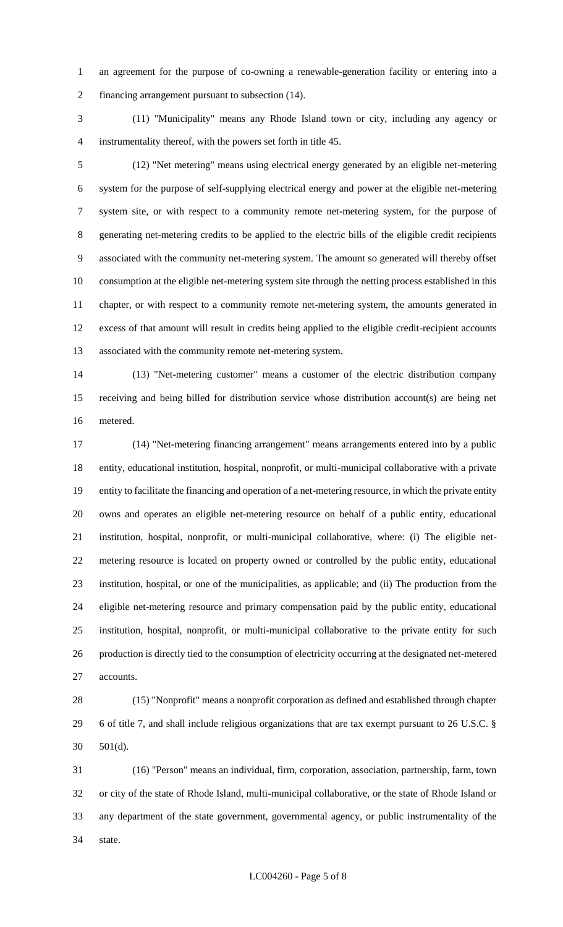an agreement for the purpose of co-owning a renewable-generation facility or entering into a financing arrangement pursuant to subsection (14).

 (11) "Municipality" means any Rhode Island town or city, including any agency or instrumentality thereof, with the powers set forth in title 45.

 (12) "Net metering" means using electrical energy generated by an eligible net-metering system for the purpose of self-supplying electrical energy and power at the eligible net-metering system site, or with respect to a community remote net-metering system, for the purpose of generating net-metering credits to be applied to the electric bills of the eligible credit recipients associated with the community net-metering system. The amount so generated will thereby offset consumption at the eligible net-metering system site through the netting process established in this chapter, or with respect to a community remote net-metering system, the amounts generated in excess of that amount will result in credits being applied to the eligible credit-recipient accounts associated with the community remote net-metering system.

 (13) "Net-metering customer" means a customer of the electric distribution company receiving and being billed for distribution service whose distribution account(s) are being net metered.

 (14) "Net-metering financing arrangement" means arrangements entered into by a public entity, educational institution, hospital, nonprofit, or multi-municipal collaborative with a private entity to facilitate the financing and operation of a net-metering resource, in which the private entity owns and operates an eligible net-metering resource on behalf of a public entity, educational institution, hospital, nonprofit, or multi-municipal collaborative, where: (i) The eligible net- metering resource is located on property owned or controlled by the public entity, educational institution, hospital, or one of the municipalities, as applicable; and (ii) The production from the eligible net-metering resource and primary compensation paid by the public entity, educational institution, hospital, nonprofit, or multi-municipal collaborative to the private entity for such production is directly tied to the consumption of electricity occurring at the designated net-metered accounts.

 (15) "Nonprofit" means a nonprofit corporation as defined and established through chapter 6 of title 7, and shall include religious organizations that are tax exempt pursuant to 26 U.S.C. § 501(d).

 (16) "Person" means an individual, firm, corporation, association, partnership, farm, town or city of the state of Rhode Island, multi-municipal collaborative, or the state of Rhode Island or any department of the state government, governmental agency, or public instrumentality of the state.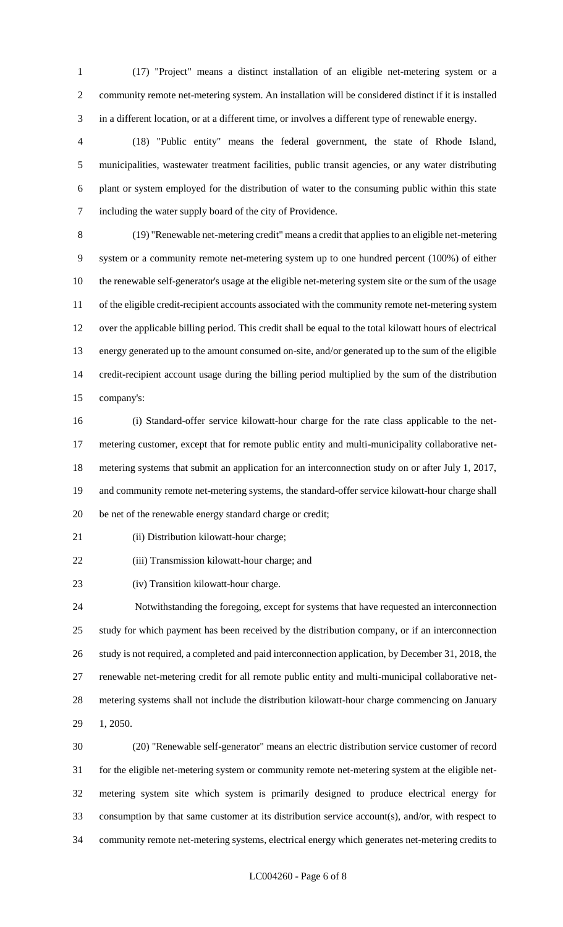(17) "Project" means a distinct installation of an eligible net-metering system or a community remote net-metering system. An installation will be considered distinct if it is installed in a different location, or at a different time, or involves a different type of renewable energy.

 (18) "Public entity" means the federal government, the state of Rhode Island, municipalities, wastewater treatment facilities, public transit agencies, or any water distributing plant or system employed for the distribution of water to the consuming public within this state including the water supply board of the city of Providence.

 (19) "Renewable net-metering credit" means a credit that applies to an eligible net-metering system or a community remote net-metering system up to one hundred percent (100%) of either the renewable self-generator's usage at the eligible net-metering system site or the sum of the usage of the eligible credit-recipient accounts associated with the community remote net-metering system over the applicable billing period. This credit shall be equal to the total kilowatt hours of electrical energy generated up to the amount consumed on-site, and/or generated up to the sum of the eligible credit-recipient account usage during the billing period multiplied by the sum of the distribution company's:

 (i) Standard-offer service kilowatt-hour charge for the rate class applicable to the net- metering customer, except that for remote public entity and multi-municipality collaborative net- metering systems that submit an application for an interconnection study on or after July 1, 2017, and community remote net-metering systems, the standard-offer service kilowatt-hour charge shall be net of the renewable energy standard charge or credit;

21 (ii) Distribution kilowatt-hour charge;

(iii) Transmission kilowatt-hour charge; and

(iv) Transition kilowatt-hour charge.

 Notwithstanding the foregoing, except for systems that have requested an interconnection study for which payment has been received by the distribution company, or if an interconnection study is not required, a completed and paid interconnection application, by December 31, 2018, the renewable net-metering credit for all remote public entity and multi-municipal collaborative net- metering systems shall not include the distribution kilowatt-hour charge commencing on January 1, 2050.

 (20) "Renewable self-generator" means an electric distribution service customer of record for the eligible net-metering system or community remote net-metering system at the eligible net- metering system site which system is primarily designed to produce electrical energy for consumption by that same customer at its distribution service account(s), and/or, with respect to community remote net-metering systems, electrical energy which generates net-metering credits to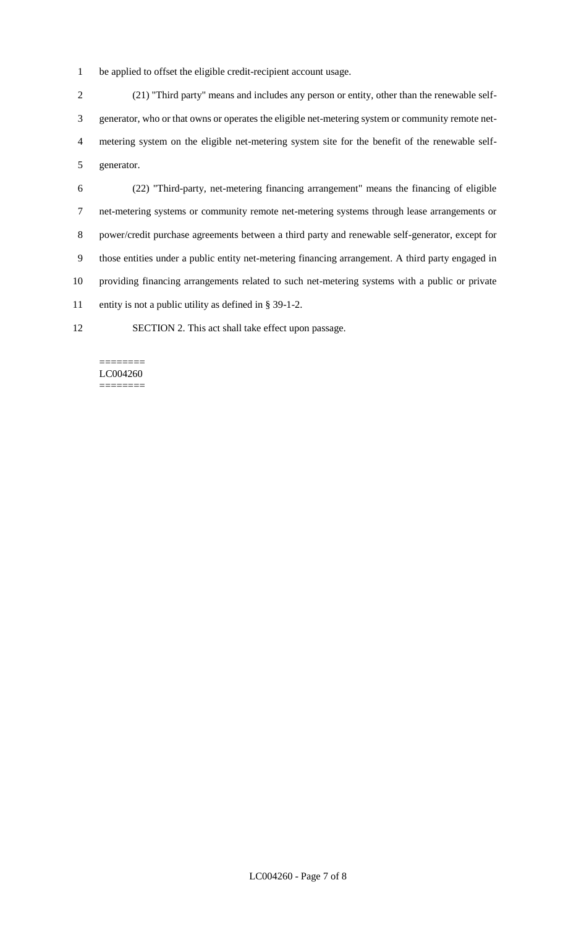be applied to offset the eligible credit-recipient account usage.

 (21) "Third party" means and includes any person or entity, other than the renewable self- generator, who or that owns or operates the eligible net-metering system or community remote net- metering system on the eligible net-metering system site for the benefit of the renewable self-generator.

 (22) "Third-party, net-metering financing arrangement" means the financing of eligible net-metering systems or community remote net-metering systems through lease arrangements or power/credit purchase agreements between a third party and renewable self-generator, except for those entities under a public entity net-metering financing arrangement. A third party engaged in providing financing arrangements related to such net-metering systems with a public or private entity is not a public utility as defined in § 39-1-2.

SECTION 2. This act shall take effect upon passage.

#### ======== LC004260 ========